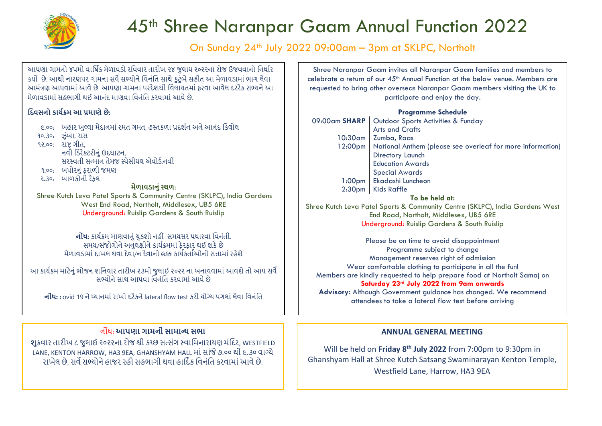

# 45th Shree Naranpar Gaam Annual Function 2022

On Sunday 24th July 2022 09:00am – 3pm at SKLPC, Northolt

આપણા ગામનો ૪૫મો વાર્ષિક મેળાવડો રવિવાર તારીખ ૨૪ જુલાય ૨૦૨૨ના રોજ ઉજવવાનો નિર્ધાર કર્યો છે. આથી નારણપર ગામના સર્વે સભ્યોને વિનંતિ સાથે કટુંબે સહીત આ મેળાવડામાં ભાગ લેવા આમંત્રણ આપવામાંઆવેછે. આપણા ગામના પરદેશથી િવલાયતમાં ફરવા આવેલ દરરેક સભ્યનેઆ મેળાવડામાં સહભાગી થઈ આનંદ માણવા વિનંતિ કરવામાં આવે છે.

### **િદવસનો કાય�ક્રમ આ પ્રમાણેછે:**

- ૯.૦૦: | બહાર ખુલ્લા મેદાનમાં રમત ગમત, હસ્તકળા પ્રદર્શન અને આનંદ કિલોલ ૧૦.૩૦<del>:</del> ઝંબા, રાસ ૧૨.૦૦: રા��ગીત, નવી ડિરેક્ટરીનં ઉદઘાટન, સરસ્વતી સન્માન તેમજ સ્પેસીયલ એવોડ�.નવી ૧.૦૦: બપોરનું ફરાળી જમણ
- ૨.૩૦: બાળકોની રેફલ **મેળાવડાનુંસ્થળ:** Shree Kutch Leva Patel Sports & Community Centre (SKLPC), India Gardens West End Road, Northolt, Middlesex, UB5 6RE Underground: Ruislip Gardens & South Ruislip

**નોંધ:** કાય�ક્રમ માણવાનુંચુકશો નહી ં સમયસર પધારવા િવનંતી. સમય/સંજોગોનેઅનુલ�ીનેકાય�ક્રમમાં ફેરફાર થઈ શકેછે મેળાવડામાં દાખલ થવા દેવા/ન દેવાનો હ� કાય�કતા�ઓની સ�ામાં રહેશે

આ કાર્યક્રમ માટેનું ભોજન શનિવાર તારીખ ૨૩મી જુલાઈ ૨૦૨૨ ના બનાવવામાં આવશે તો આપ સર્વે સભ્યોને સાથ આપવા વિનંતિ કરવામાં આવે છે

**નોંધ:** covid 19 ને ધ્યાનમાં રાખી દરેકને lateral flow test કરી યોગ્ય પગલાં લેવા વિનંતિ

## નોંધ: **આપણા ગામની સામાન્ય સભા**

શુક્રવાર તારીખ ૮ જુલાઈ ૨૦૨૨ના રોજ શ્રી કચ્છ સત્સંગ સ્વાિમનારાયણ મંિદર, WESTFIELD LANE, KENTON HARROW, HA3 9EA, GHANSHYAM HALL માંસાંજે૭.૦૦ થી ૯.૩૦ વાગ્યે રાખેલ છે. સવ�સભ્યોનેહાજર રહી સહભાગી થવા હાિદ� ક િવનંિત કરવામાંઆવેછે.

Shree Naranpar Gaam invites all Naranpar Gaam families and members to celebrate a return of our 45th Annual Function at the below venue. Members are requested to bring other overseas Naranpar Gaam members visiting the UK to participate and enjoy the day.

#### **Programme Schedule**

| 09:00am SHARP   Outdoor Sports Activities & Funday<br>  Arts and Crafts                                                                                                |
|------------------------------------------------------------------------------------------------------------------------------------------------------------------------|
| 10:30am   Zumba, Raas                                                                                                                                                  |
| 12:00pm<br>National Anthem (please see overleaf for more information)<br>Directory Launch<br>Education Awards<br>Special Awards<br>1:00pm<br>Ekadashi Luncheon<br>2.20 |
|                                                                                                                                                                        |
|                                                                                                                                                                        |
|                                                                                                                                                                        |
|                                                                                                                                                                        |
| 2:30pm Kids Raffle                                                                                                                                                     |
| To be held at:                                                                                                                                                         |

Shree Kutch Leva Patel Sports & Community Centre (SKLPC), India Gardens West End Road, Northolt, Middlesex, UB5 6RE Underground: Ruislip Gardens & South Ruislip

Please be on time to avoid disappointment Programme subject to change Management reserves right of admission Wear comfortable clothing to participate in all the fun! Members are kindly requested to help prepare food at Northolt Samaj on **Saturday 23rd July 2022 from 9am onwards Advisory:** Although Government guidance has changed. We recommend

#### **ANNUAL GENERAL MEETING**

attendees to take a lateral flow test before arriving

Will be held on **Friday 8th July 2022** from 7:00pm to 9:30pm in Ghanshyam Hall at Shree Kutch Satsang Swaminarayan Kenton Temple, Westfield Lane, Harrow, HA3 9EA